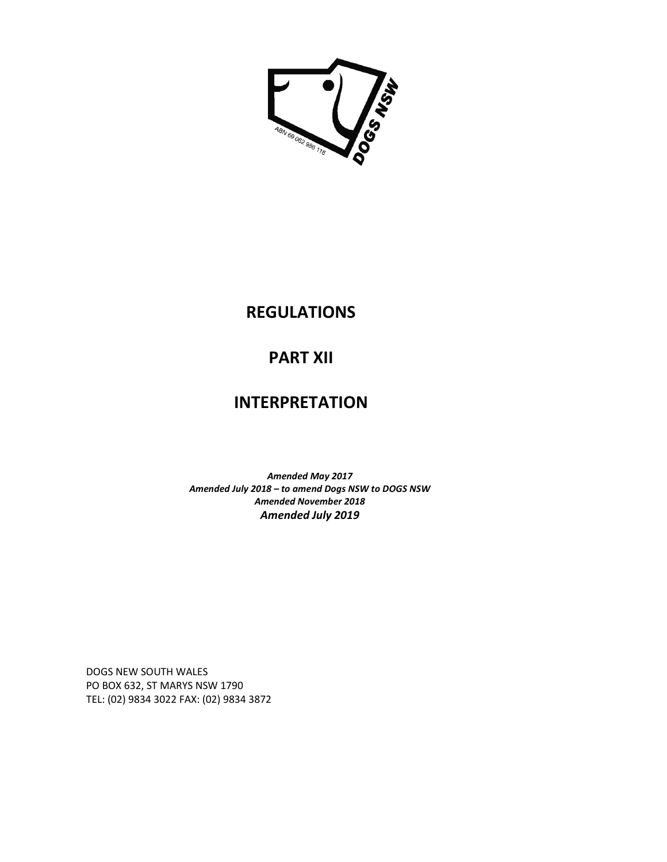

### **REGULATIONS**

# **PART XII**

# **INTERPRETATION**

*Amended May 2017 Amended July 2018 – to amend Dogs NSW to DOGS NSW Amended November 2018 Amended July 2019* 

DOGS NEW SOUTH WALES PO BOX 632, ST MARYS NSW 1790 TEL: (02) 9834 3022 FAX: (02) 9834 3872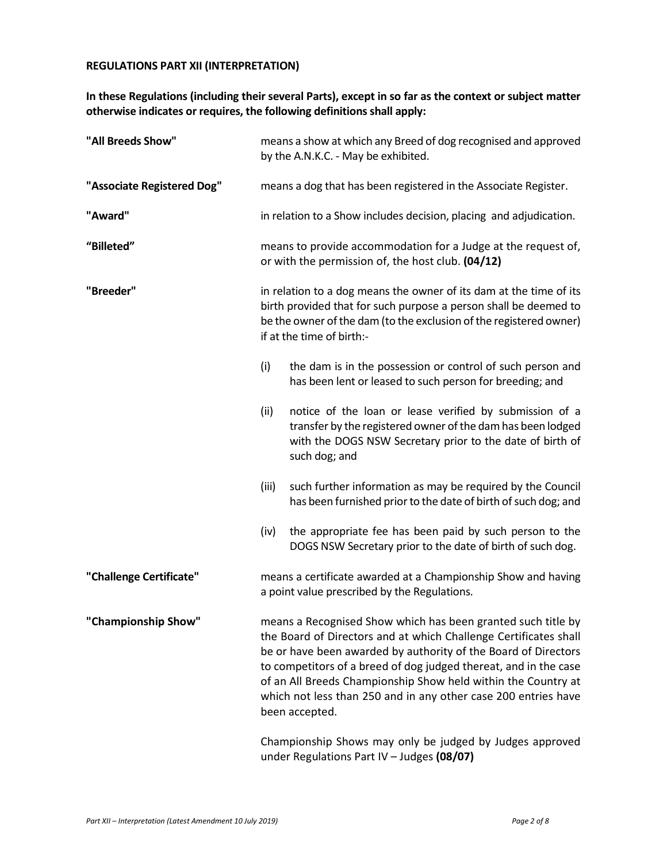#### **REGULATIONS PART XII (INTERPRETATION)**

#### **In these Regulations (including their several Parts), except in so far as the context or subject matter otherwise indicates or requires, the following definitions shall apply:**

| "All Breeds Show"          | means a show at which any Breed of dog recognised and approved<br>by the A.N.K.C. - May be exhibited.                                                                                                                                                                                                                                                                                                                                                                                   |  |  |
|----------------------------|-----------------------------------------------------------------------------------------------------------------------------------------------------------------------------------------------------------------------------------------------------------------------------------------------------------------------------------------------------------------------------------------------------------------------------------------------------------------------------------------|--|--|
| "Associate Registered Dog" | means a dog that has been registered in the Associate Register.                                                                                                                                                                                                                                                                                                                                                                                                                         |  |  |
| "Award"                    | in relation to a Show includes decision, placing and adjudication.                                                                                                                                                                                                                                                                                                                                                                                                                      |  |  |
| "Billeted"                 | means to provide accommodation for a Judge at the request of,<br>or with the permission of, the host club. (04/12)                                                                                                                                                                                                                                                                                                                                                                      |  |  |
| "Breeder"                  | in relation to a dog means the owner of its dam at the time of its<br>birth provided that for such purpose a person shall be deemed to<br>be the owner of the dam (to the exclusion of the registered owner)<br>if at the time of birth:-                                                                                                                                                                                                                                               |  |  |
|                            | (i)<br>the dam is in the possession or control of such person and<br>has been lent or leased to such person for breeding; and                                                                                                                                                                                                                                                                                                                                                           |  |  |
|                            | (ii)<br>notice of the loan or lease verified by submission of a<br>transfer by the registered owner of the dam has been lodged<br>with the DOGS NSW Secretary prior to the date of birth of<br>such dog; and                                                                                                                                                                                                                                                                            |  |  |
|                            | such further information as may be required by the Council<br>(iii)<br>has been furnished prior to the date of birth of such dog; and                                                                                                                                                                                                                                                                                                                                                   |  |  |
|                            | the appropriate fee has been paid by such person to the<br>(iv)<br>DOGS NSW Secretary prior to the date of birth of such dog.                                                                                                                                                                                                                                                                                                                                                           |  |  |
| "Challenge Certificate"    | means a certificate awarded at a Championship Show and having<br>a point value prescribed by the Regulations.                                                                                                                                                                                                                                                                                                                                                                           |  |  |
| "Championship Show"        | means a Recognised Show which has been granted such title by<br>the Board of Directors and at which Challenge Certificates shall<br>be or have been awarded by authority of the Board of Directors<br>to competitors of a breed of dog judged thereat, and in the case<br>of an All Breeds Championship Show held within the Country at<br>which not less than 250 and in any other case 200 entries have<br>been accepted.<br>Championship Shows may only be judged by Judges approved |  |  |

under Regulations Part IV – Judges **(08/07)**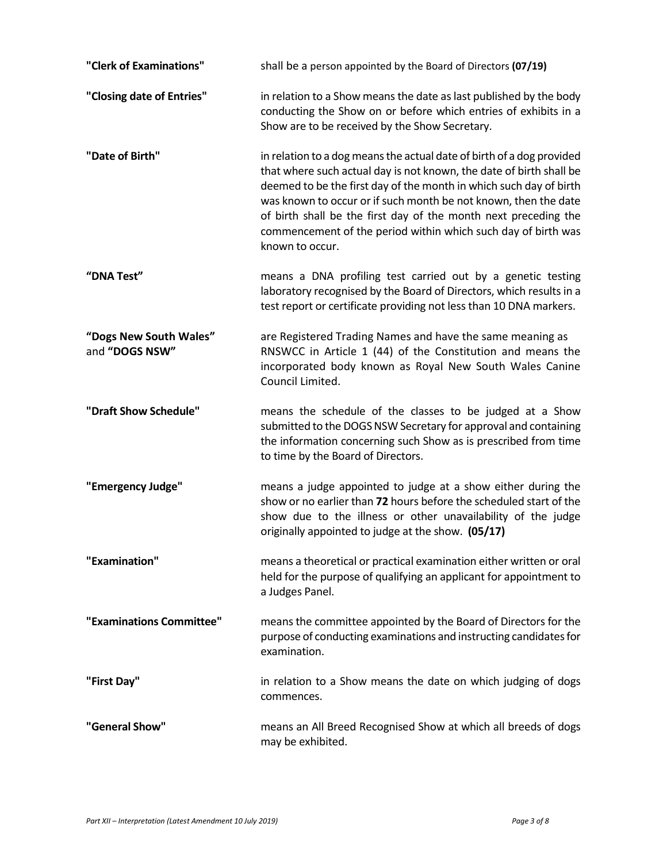| "Clerk of Examinations"                  | shall be a person appointed by the Board of Directors (07/19)                                                                                                                                                                                                                                                                                                                                                                                |
|------------------------------------------|----------------------------------------------------------------------------------------------------------------------------------------------------------------------------------------------------------------------------------------------------------------------------------------------------------------------------------------------------------------------------------------------------------------------------------------------|
| "Closing date of Entries"                | in relation to a Show means the date as last published by the body<br>conducting the Show on or before which entries of exhibits in a<br>Show are to be received by the Show Secretary.                                                                                                                                                                                                                                                      |
| "Date of Birth"                          | in relation to a dog means the actual date of birth of a dog provided<br>that where such actual day is not known, the date of birth shall be<br>deemed to be the first day of the month in which such day of birth<br>was known to occur or if such month be not known, then the date<br>of birth shall be the first day of the month next preceding the<br>commencement of the period within which such day of birth was<br>known to occur. |
| "DNA Test"                               | means a DNA profiling test carried out by a genetic testing<br>laboratory recognised by the Board of Directors, which results in a<br>test report or certificate providing not less than 10 DNA markers.                                                                                                                                                                                                                                     |
| "Dogs New South Wales"<br>and "DOGS NSW" | are Registered Trading Names and have the same meaning as<br>RNSWCC in Article 1 (44) of the Constitution and means the<br>incorporated body known as Royal New South Wales Canine<br>Council Limited.                                                                                                                                                                                                                                       |
| "Draft Show Schedule"                    | means the schedule of the classes to be judged at a Show<br>submitted to the DOGS NSW Secretary for approval and containing<br>the information concerning such Show as is prescribed from time<br>to time by the Board of Directors.                                                                                                                                                                                                         |
| "Emergency Judge"                        | means a judge appointed to judge at a show either during the<br>show or no earlier than 72 hours before the scheduled start of the<br>show due to the illness or other unavailability of the judge<br>originally appointed to judge at the show. (05/17)                                                                                                                                                                                     |
| "Examination"                            | means a theoretical or practical examination either written or oral<br>held for the purpose of qualifying an applicant for appointment to<br>a Judges Panel.                                                                                                                                                                                                                                                                                 |
| "Examinations Committee"                 | means the committee appointed by the Board of Directors for the<br>purpose of conducting examinations and instructing candidates for<br>examination.                                                                                                                                                                                                                                                                                         |
| "First Day"                              | in relation to a Show means the date on which judging of dogs<br>commences.                                                                                                                                                                                                                                                                                                                                                                  |
| "General Show"                           | means an All Breed Recognised Show at which all breeds of dogs<br>may be exhibited.                                                                                                                                                                                                                                                                                                                                                          |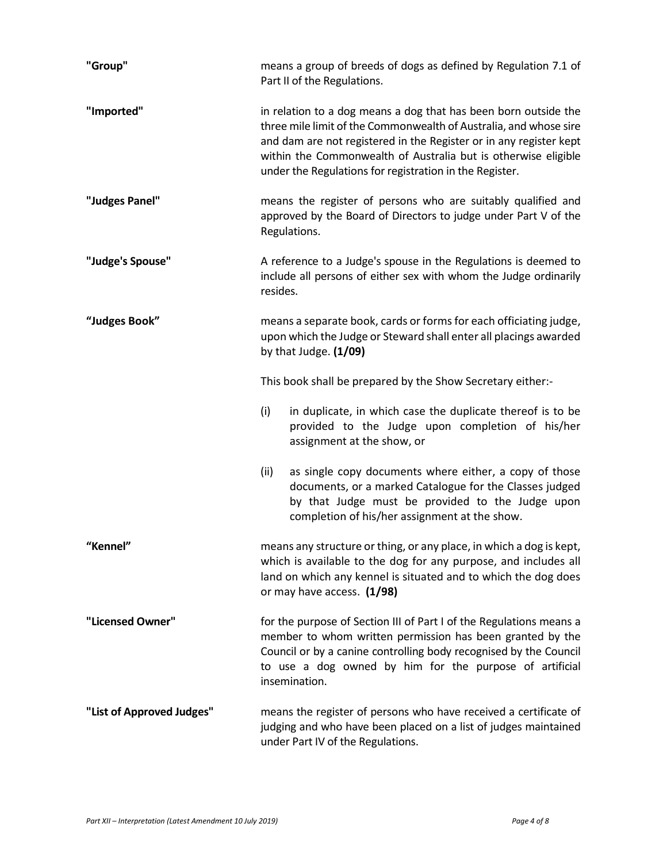| "Group"                   | means a group of breeds of dogs as defined by Regulation 7.1 of<br>Part II of the Regulations.                                                                                                                                                                                                                                          |  |  |
|---------------------------|-----------------------------------------------------------------------------------------------------------------------------------------------------------------------------------------------------------------------------------------------------------------------------------------------------------------------------------------|--|--|
| "Imported"                | in relation to a dog means a dog that has been born outside the<br>three mile limit of the Commonwealth of Australia, and whose sire<br>and dam are not registered in the Register or in any register kept<br>within the Commonwealth of Australia but is otherwise eligible<br>under the Regulations for registration in the Register. |  |  |
| "Judges Panel"            | means the register of persons who are suitably qualified and<br>approved by the Board of Directors to judge under Part V of the<br>Regulations.                                                                                                                                                                                         |  |  |
| "Judge's Spouse"          | A reference to a Judge's spouse in the Regulations is deemed to<br>include all persons of either sex with whom the Judge ordinarily<br>resides.                                                                                                                                                                                         |  |  |
| "Judges Book"             | means a separate book, cards or forms for each officiating judge,<br>upon which the Judge or Steward shall enter all placings awarded<br>by that Judge. $(1/09)$                                                                                                                                                                        |  |  |
|                           | This book shall be prepared by the Show Secretary either:-                                                                                                                                                                                                                                                                              |  |  |
|                           | (i)<br>in duplicate, in which case the duplicate thereof is to be<br>provided to the Judge upon completion of his/her<br>assignment at the show, or                                                                                                                                                                                     |  |  |
|                           | (ii)<br>as single copy documents where either, a copy of those<br>documents, or a marked Catalogue for the Classes judged<br>by that Judge must be provided to the Judge upon<br>completion of his/her assignment at the show.                                                                                                          |  |  |
| "Kennel"                  | means any structure or thing, or any place, in which a dog is kept,<br>which is available to the dog for any purpose, and includes all<br>land on which any kennel is situated and to which the dog does<br>or may have access. (1/98)                                                                                                  |  |  |
| "Licensed Owner"          | for the purpose of Section III of Part I of the Regulations means a<br>member to whom written permission has been granted by the<br>Council or by a canine controlling body recognised by the Council<br>to use a dog owned by him for the purpose of artificial<br>insemination.                                                       |  |  |
| "List of Approved Judges" | means the register of persons who have received a certificate of<br>judging and who have been placed on a list of judges maintained<br>under Part IV of the Regulations.                                                                                                                                                                |  |  |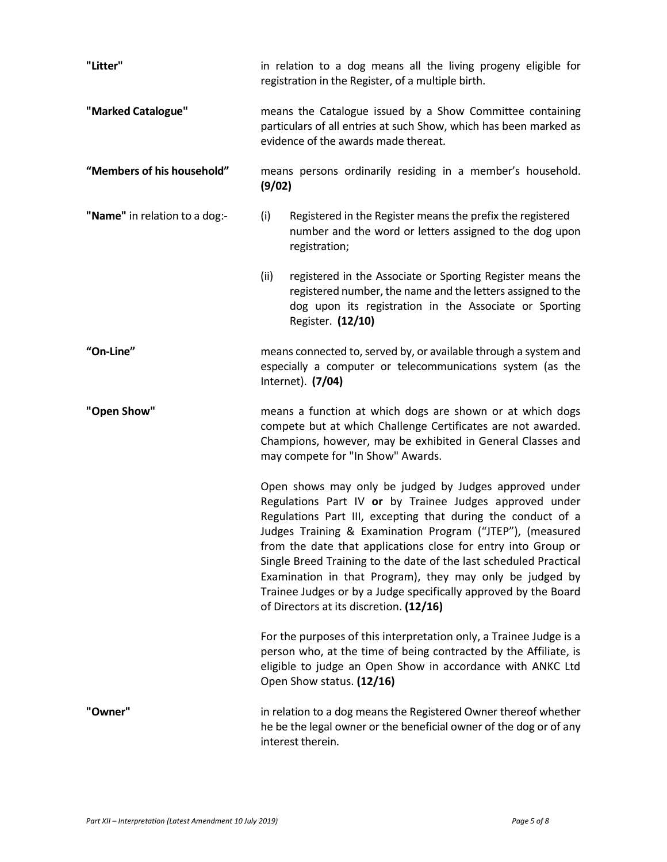| "Litter"                      | in relation to a dog means all the living progeny eligible for<br>registration in the Register, of a multiple birth.                                                                                                                                                                                                                                                                                                                                                                                                                                           |  |  |
|-------------------------------|----------------------------------------------------------------------------------------------------------------------------------------------------------------------------------------------------------------------------------------------------------------------------------------------------------------------------------------------------------------------------------------------------------------------------------------------------------------------------------------------------------------------------------------------------------------|--|--|
| "Marked Catalogue"            | means the Catalogue issued by a Show Committee containing<br>particulars of all entries at such Show, which has been marked as<br>evidence of the awards made thereat.                                                                                                                                                                                                                                                                                                                                                                                         |  |  |
| "Members of his household"    | means persons ordinarily residing in a member's household.<br>(9/02)                                                                                                                                                                                                                                                                                                                                                                                                                                                                                           |  |  |
| "Name" in relation to a dog:- | (i)<br>Registered in the Register means the prefix the registered<br>number and the word or letters assigned to the dog upon<br>registration;                                                                                                                                                                                                                                                                                                                                                                                                                  |  |  |
|                               | (ii)<br>registered in the Associate or Sporting Register means the<br>registered number, the name and the letters assigned to the<br>dog upon its registration in the Associate or Sporting<br>Register. (12/10)                                                                                                                                                                                                                                                                                                                                               |  |  |
| "On-Line"                     | means connected to, served by, or available through a system and<br>especially a computer or telecommunications system (as the<br>Internet). (7/04)                                                                                                                                                                                                                                                                                                                                                                                                            |  |  |
| "Open Show"                   | means a function at which dogs are shown or at which dogs<br>compete but at which Challenge Certificates are not awarded.<br>Champions, however, may be exhibited in General Classes and<br>may compete for "In Show" Awards.                                                                                                                                                                                                                                                                                                                                  |  |  |
|                               | Open shows may only be judged by Judges approved under<br>Regulations Part IV or by Trainee Judges approved under<br>Regulations Part III, excepting that during the conduct of a<br>Judges Training & Examination Program ("JTEP"), (measured<br>from the date that applications close for entry into Group or<br>Single Breed Training to the date of the last scheduled Practical<br>Examination in that Program), they may only be judged by<br>Trainee Judges or by a Judge specifically approved by the Board<br>of Directors at its discretion. (12/16) |  |  |
|                               | For the purposes of this interpretation only, a Trainee Judge is a<br>person who, at the time of being contracted by the Affiliate, is<br>eligible to judge an Open Show in accordance with ANKC Ltd<br>Open Show status. (12/16)                                                                                                                                                                                                                                                                                                                              |  |  |
| "Owner"                       | in relation to a dog means the Registered Owner thereof whether<br>he be the legal owner or the beneficial owner of the dog or of any<br>interest therein.                                                                                                                                                                                                                                                                                                                                                                                                     |  |  |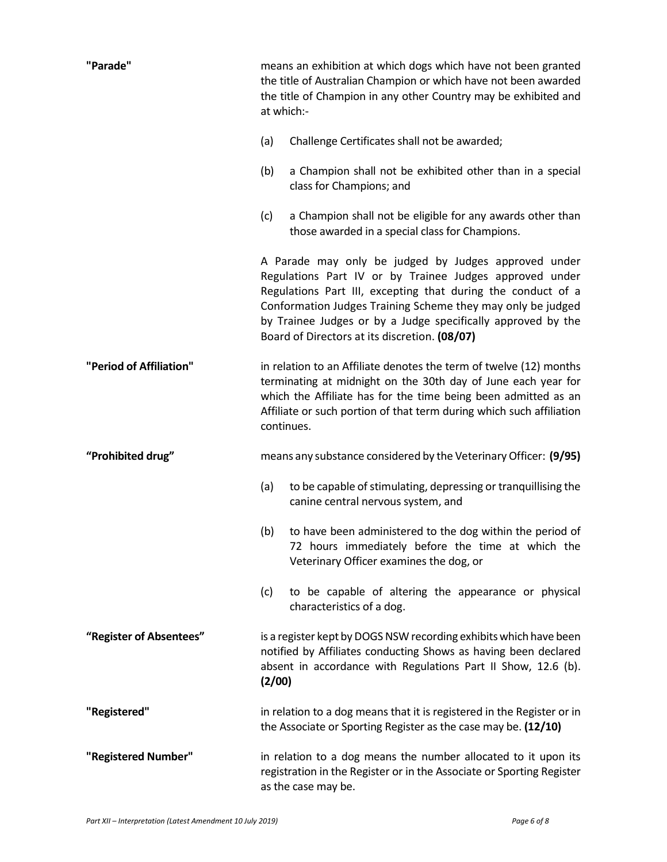| "Parade"                | means an exhibition at which dogs which have not been granted<br>the title of Australian Champion or which have not been awarded<br>the title of Champion in any other Country may be exhibited and<br>at which:-                                                                                                                                               |  |
|-------------------------|-----------------------------------------------------------------------------------------------------------------------------------------------------------------------------------------------------------------------------------------------------------------------------------------------------------------------------------------------------------------|--|
|                         | Challenge Certificates shall not be awarded;<br>(a)                                                                                                                                                                                                                                                                                                             |  |
|                         | (b)<br>a Champion shall not be exhibited other than in a special<br>class for Champions; and                                                                                                                                                                                                                                                                    |  |
|                         | a Champion shall not be eligible for any awards other than<br>(c)<br>those awarded in a special class for Champions.                                                                                                                                                                                                                                            |  |
|                         | A Parade may only be judged by Judges approved under<br>Regulations Part IV or by Trainee Judges approved under<br>Regulations Part III, excepting that during the conduct of a<br>Conformation Judges Training Scheme they may only be judged<br>by Trainee Judges or by a Judge specifically approved by the<br>Board of Directors at its discretion. (08/07) |  |
| "Period of Affiliation" | in relation to an Affiliate denotes the term of twelve (12) months<br>terminating at midnight on the 30th day of June each year for<br>which the Affiliate has for the time being been admitted as an<br>Affiliate or such portion of that term during which such affiliation<br>continues.                                                                     |  |
| "Prohibited drug"       | means any substance considered by the Veterinary Officer: (9/95)                                                                                                                                                                                                                                                                                                |  |
|                         | to be capable of stimulating, depressing or tranquillising the<br>(a)<br>canine central nervous system, and                                                                                                                                                                                                                                                     |  |
|                         | to have been administered to the dog within the period of<br>(b)<br>72 hours immediately before the time at which the<br>Veterinary Officer examines the dog, or                                                                                                                                                                                                |  |
|                         | to be capable of altering the appearance or physical<br>(c)<br>characteristics of a dog.                                                                                                                                                                                                                                                                        |  |
| "Register of Absentees" | is a register kept by DOGS NSW recording exhibits which have been<br>notified by Affiliates conducting Shows as having been declared<br>absent in accordance with Regulations Part II Show, 12.6 (b).<br>(2/00)                                                                                                                                                 |  |
| "Registered"            | in relation to a dog means that it is registered in the Register or in<br>the Associate or Sporting Register as the case may be. (12/10)                                                                                                                                                                                                                        |  |
| "Registered Number"     | in relation to a dog means the number allocated to it upon its<br>registration in the Register or in the Associate or Sporting Register<br>as the case may be.                                                                                                                                                                                                  |  |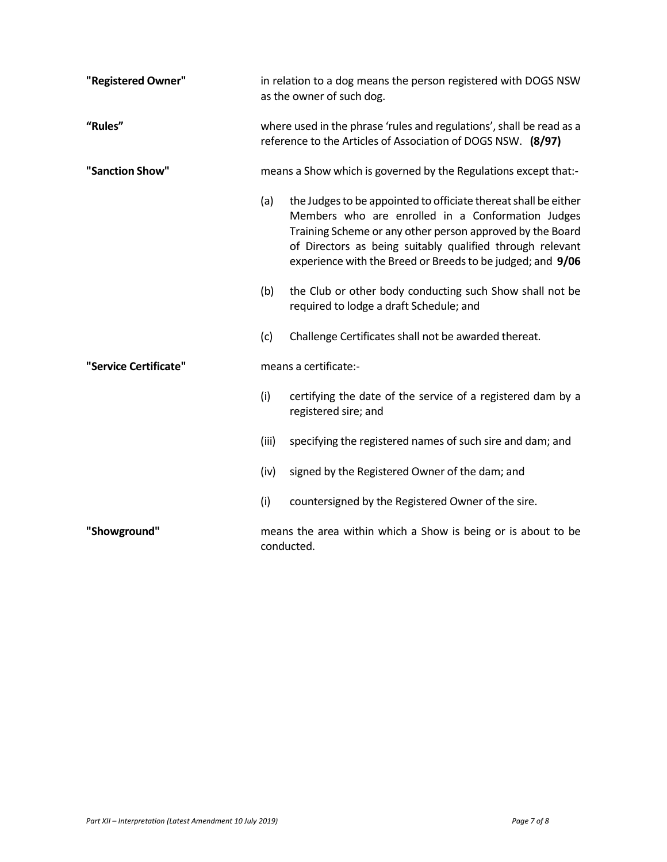| "Registered Owner"    | in relation to a dog means the person registered with DOGS NSW<br>as the owner of such dog.                                          |                                                                                                                                                                                                                                                                                                              |
|-----------------------|--------------------------------------------------------------------------------------------------------------------------------------|--------------------------------------------------------------------------------------------------------------------------------------------------------------------------------------------------------------------------------------------------------------------------------------------------------------|
| "Rules"               | where used in the phrase 'rules and regulations', shall be read as a<br>reference to the Articles of Association of DOGS NSW. (8/97) |                                                                                                                                                                                                                                                                                                              |
| "Sanction Show"       | means a Show which is governed by the Regulations except that:-                                                                      |                                                                                                                                                                                                                                                                                                              |
|                       | (a)                                                                                                                                  | the Judges to be appointed to officiate thereat shall be either<br>Members who are enrolled in a Conformation Judges<br>Training Scheme or any other person approved by the Board<br>of Directors as being suitably qualified through relevant<br>experience with the Breed or Breeds to be judged; and 9/06 |
|                       | (b)                                                                                                                                  | the Club or other body conducting such Show shall not be<br>required to lodge a draft Schedule; and                                                                                                                                                                                                          |
|                       | (c)                                                                                                                                  | Challenge Certificates shall not be awarded thereat.                                                                                                                                                                                                                                                         |
| "Service Certificate" |                                                                                                                                      | means a certificate:-                                                                                                                                                                                                                                                                                        |
|                       | (i)                                                                                                                                  | certifying the date of the service of a registered dam by a<br>registered sire; and                                                                                                                                                                                                                          |
|                       | (iii)                                                                                                                                | specifying the registered names of such sire and dam; and                                                                                                                                                                                                                                                    |
|                       | (iv)                                                                                                                                 | signed by the Registered Owner of the dam; and                                                                                                                                                                                                                                                               |
|                       | (i)                                                                                                                                  | countersigned by the Registered Owner of the sire.                                                                                                                                                                                                                                                           |
| "Showground"          |                                                                                                                                      | means the area within which a Show is being or is about to be<br>conducted.                                                                                                                                                                                                                                  |